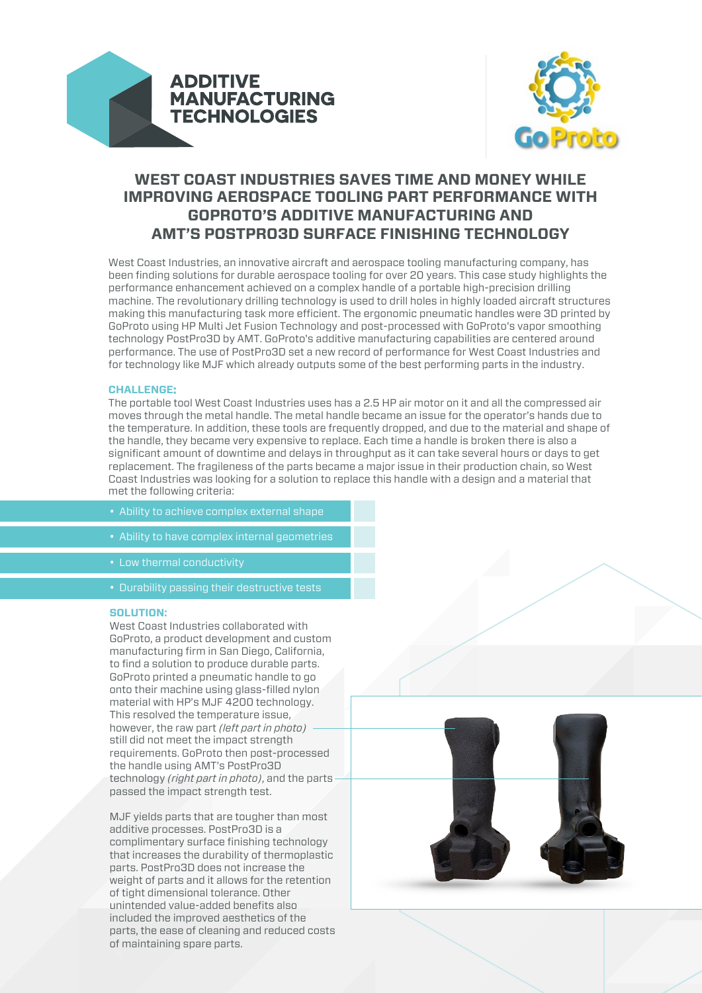



# **WEST COAST INDUSTRIES SAVES TIME AND MONEY WHILE IMPROVING AEROSPACE TOOLING PART PERFORMANCE WITH GOPROTO'S ADDITIVE MANUFACTURING AND AMT'S POSTPRO3D SURFACE FINISHING TECHNOLOGY**

West Coast Industries, an innovative aircraft and aerospace tooling manufacturing company, has been finding solutions for durable aerospace tooling for over 20 years. This case study highlights the performance enhancement achieved on a complex handle of a portable high-precision drilling machine. The revolutionary drilling technology is used to drill holes in highly loaded aircraft structures making this manufacturing task more efficient. The ergonomic pneumatic handles were 3D printed by GoProto using HP Multi Jet Fusion Technology and post-processed with GoProto's vapor smoothing technology PostPro3D by AMT. GoProto's additive manufacturing capabilities are centered around performance. The use of PostPro3D set a new record of performance for West Coast Industries and for technology like MJF which already outputs some of the best performing parts in the industry.

### **CHALLENGE:**

The portable tool West Coast Industries uses has a 2.5 HP air motor on it and all the compressed air moves through the metal handle. The metal handle became an issue for the operator's hands due to the temperature. In addition, these tools are frequently dropped, and due to the material and shape of the handle, they became very expensive to replace. Each time a handle is broken there is also a significant amount of downtime and delays in throughput as it can take several hours or days to get replacement. The fragileness of the parts became a major issue in their production chain, so West Coast Industries was looking for a solution to replace this handle with a design and a material that met the following criteria:

- Ability to achieve complex external shape
- Ability to have complex internal geometries
- Low thermal conductivity
- Durability passing their destructive tests

### **SOLUTION:**

West Coast Industries collaborated with GoProto, a product development and custom manufacturing firm in San Diego, California, to find a solution to produce durable parts. GoProto printed a pneumatic handle to go onto their machine using glass-filled nylon material with HP's MJF 4200 technology. This resolved the temperature issue, however, the raw part *(left part in photo)* still did not meet the impact strength requirements. GoProto then post-processed the handle using AMT's PostPro3D technology *(right part in photo)*, and the parts passed the impact strength test.

MJF yields parts that are tougher than most additive processes. PostPro3D is a complimentary surface finishing technology that increases the durability of thermoplastic parts. PostPro3D does not increase the weight of parts and it allows for the retention of tight dimensional tolerance. Other unintended value-added benefits also included the improved aesthetics of the parts, the ease of cleaning and reduced costs of maintaining spare parts.